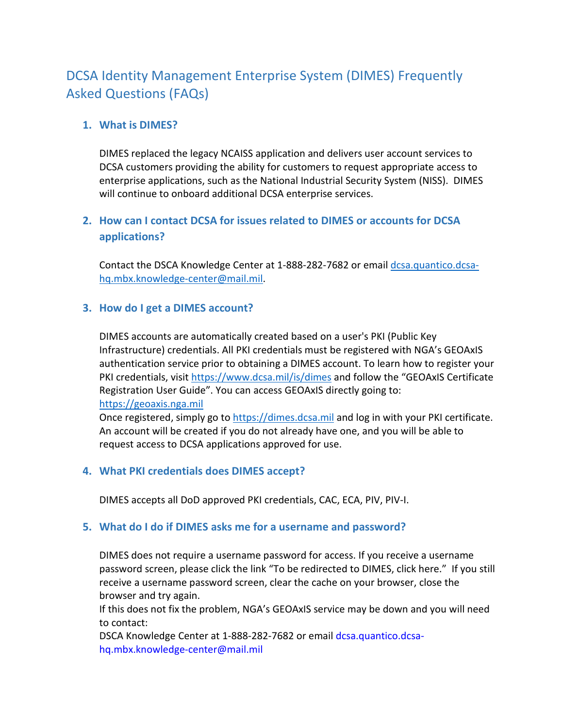# DCSA Identity Management Enterprise System (DIMES) Frequently Asked Questions (FAQs)

# **1. What is DIMES?**

DIMES replaced the legacy NCAISS application and delivers user account services to DCSA customers providing the ability for customers to request appropriate access to enterprise applications, such as the National Industrial Security System (NISS). DIMES will continue to onboard additional DCSA enterprise services.

# **2. How can I contact DCSA for issues related to DIMES or accounts for DCSA applications?**

Contact the DSCA Knowledge Center at 1-888-282-7682 or email [dcsa.quantico.dcsa](mailto:dcsa.quantico.dcsa-hq.mbx.knowledge-center@mail.mil)[hq.mbx.knowledge-center@mail.mil.](mailto:dcsa.quantico.dcsa-hq.mbx.knowledge-center@mail.mil)

## **3. How do I get a DIMES account?**

DIMES accounts are automatically created based on a user's PKI (Public Key Infrastructure) credentials. All PKI credentials must be registered with NGA's GEOAxIS authentication service prior to obtaining a DIMES account. To learn how to register your PKI credentials, visit<https://www.dcsa.mil/is/dimes> and follow the "GEOAxIS Certificate Registration User Guide". You can access GEOAxIS directly going to: [https://geoaxis.nga.mil](https://geoaxis.nga.mil/)

Once registered, simply go to [https://dimes.dcsa.mil](https://dimes.dcsa.mil/) and log in with your PKI certificate. An account will be created if you do not already have one, and you will be able to request access to DCSA applications approved for use.

## **4. What PKI credentials does DIMES accept?**

DIMES accepts all DoD approved PKI credentials, CAC, ECA, PIV, PIV-I.

## **5. What do I do if DIMES asks me for a username and password?**

DIMES does not require a username password for access. If you receive a username password screen, please click the link "To be redirected to DIMES, click here." If you still receive a username password screen, clear the cache on your browser, close the browser and try again.

If this does not fix the problem, NGA's GEOAxIS service may be down and you will need to contact:

DSCA Knowledge Center at 1-888-282-7682 or email [dcsa.quantico.dcsa](mailto:dcsa.quantico.dcsa-hq.mbx.knowledge-center@mail.mil)[hq.mbx.knowledge-center@mail.mil](mailto:dcsa.quantico.dcsa-hq.mbx.knowledge-center@mail.mil)